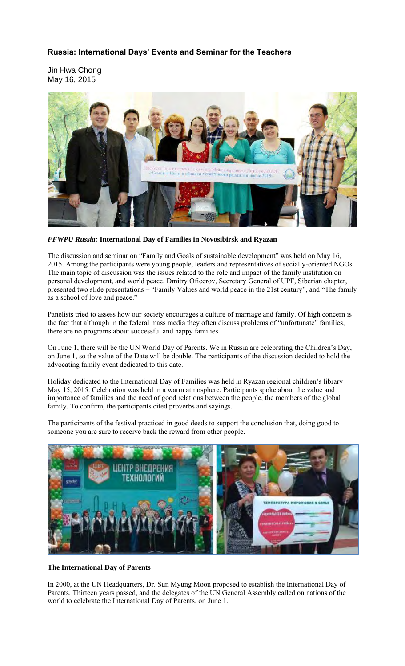# **Russia: International Days' Events and Seminar for the Teachers**

Jin Hwa Chong May 16, 2015



## *FFWPU Russia:* **International Day of Families in Novosibirsk and Ryazan**

The discussion and seminar on "Family and Goals of sustainable development" was held on May 16, 2015. Among the participants were young people, leaders and representatives of socially-oriented NGOs. The main topic of discussion was the issues related to the role and impact of the family institution on personal development, and world peace. Dmitry Oficerov, Secretary General of UPF, Siberian chapter, presented two slide presentations – "Family Values and world peace in the 21st century", and "The family as a school of love and peace."

Panelists tried to assess how our society encourages a culture of marriage and family. Of high concern is the fact that although in the federal mass media they often discuss problems of "unfortunate" families, there are no programs about successful and happy families.

On June 1, there will be the UN World Day of Parents. We in Russia are celebrating the Children's Day, on June 1, so the value of the Date will be double. The participants of the discussion decided to hold the advocating family event dedicated to this date.

Holiday dedicated to the International Day of Families was held in Ryazan regional children's library May 15, 2015. Celebration was held in a warm atmosphere. Participants spoke about the value and importance of families and the need of good relations between the people, the members of the global family. To confirm, the participants cited proverbs and sayings.

The participants of the festival practiced in good deeds to support the conclusion that, doing good to someone you are sure to receive back the reward from other people.



### **The International Day of Parents**

In 2000, at the UN Headquarters, Dr. Sun Myung Moon proposed to establish the International Day of Parents. Thirteen years passed, and the delegates of the UN General Assembly called on nations of the world to celebrate the International Day of Parents, on June 1.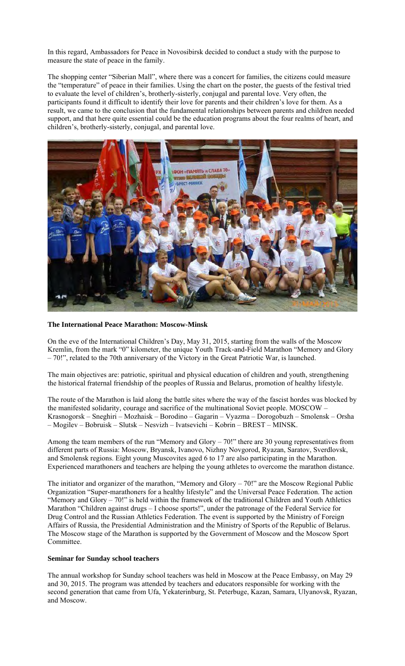In this regard, Ambassadors for Peace in Novosibirsk decided to conduct a study with the purpose to measure the state of peace in the family.

The shopping center "Siberian Mall", where there was a concert for families, the citizens could measure the "temperature" of peace in their families. Using the chart on the poster, the guests of the festival tried to evaluate the level of children's, brotherly-sisterly, conjugal and parental love. Very often, the participants found it difficult to identify their love for parents and their children's love for them. As a result, we came to the conclusion that the fundamental relationships between parents and children needed support, and that here quite essential could be the education programs about the four realms of heart, and children's, brotherly-sisterly, conjugal, and parental love.



#### **The International Peace Marathon: Moscow-Minsk**

On the eve of the International Children's Day, May 31, 2015, starting from the walls of the Moscow Kremlin, from the mark "0" kilometer, the unique Youth Track-and-Field Marathon "Memory and Glory – 70!", related to the 70th anniversary of the Victory in the Great Patriotic War, is launched.

The main objectives are: patriotic, spiritual and physical education of children and youth, strengthening the historical fraternal friendship of the peoples of Russia and Belarus, promotion of healthy lifestyle.

The route of the Marathon is laid along the battle sites where the way of the fascist hordes was blocked by the manifested solidarity, courage and sacrifice of the multinational Soviet people. MOSCOW – Krasnogorsk – Sneghiri – Mozhaisk – Borodino – Gagarin – Vyazma – Dorogobuzh – Smolensk – Orsha – Mogilev – Bobruisk – Slutsk – Nesvizh – Ivatsevichi – Kobrin – BREST – MINSK.

Among the team members of the run "Memory and Glory – 70!" there are 30 young representatives from different parts of Russia: Moscow, Bryansk, Ivanovo, Nizhny Novgorod, Ryazan, Saratov, Sverdlovsk, and Smolensk regions. Eight young Muscovites aged 6 to 17 are also participating in the Marathon. Experienced marathoners and teachers are helping the young athletes to overcome the marathon distance.

The initiator and organizer of the marathon, "Memory and Glory – 70!" are the Moscow Regional Public Organization "Super-marathoners for a healthy lifestyle" and the Universal Peace Federation. The action "Memory and Glory  $-70$ !" is held within the framework of the traditional Children and Youth Athletics Marathon "Children against drugs – I choose sports!", under the patronage of the Federal Service for Drug Control and the Russian Athletics Federation. The event is supported by the Ministry of Foreign Affairs of Russia, the Presidential Administration and the Ministry of Sports of the Republic of Belarus. The Moscow stage of the Marathon is supported by the Government of Moscow and the Moscow Sport Committee.

#### **Seminar for Sunday school teachers**

The annual workshop for Sunday school teachers was held in Moscow at the Peace Embassy, on May 29 and 30, 2015. The program was attended by teachers and educators responsible for working with the second generation that came from Ufa, Yekaterinburg, St. Peterbuge, Kazan, Samara, Ulyanovsk, Ryazan, and Moscow.